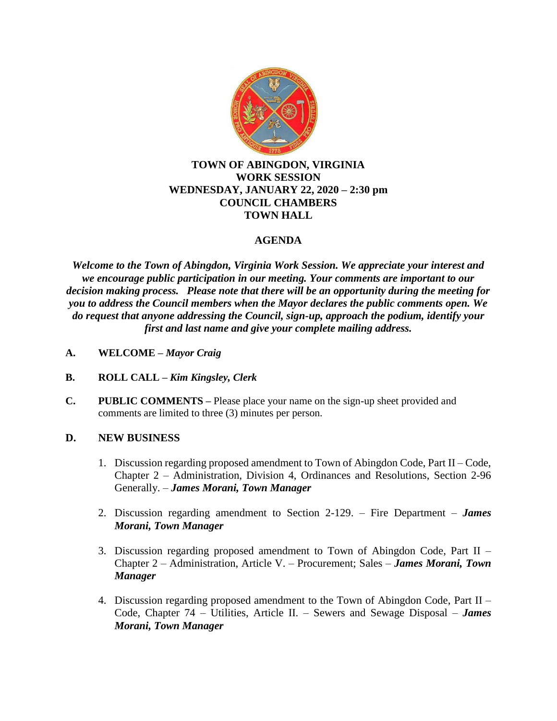

### **TOWN OF ABINGDON, VIRGINIA WORK SESSION WEDNESDAY, JANUARY 22, 2020 – 2:30 pm COUNCIL CHAMBERS TOWN HALL**

# **AGENDA**

*Welcome to the Town of Abingdon, Virginia Work Session. We appreciate your interest and we encourage public participation in our meeting. Your comments are important to our decision making process. Please note that there will be an opportunity during the meeting for you to address the Council members when the Mayor declares the public comments open. We do request that anyone addressing the Council, sign-up, approach the podium, identify your first and last name and give your complete mailing address.*

- **A. WELCOME –** *Mayor Craig*
- **B. ROLL CALL –** *Kim Kingsley, Clerk*
- **C. PUBLIC COMMENTS –** Please place your name on the sign-up sheet provided and comments are limited to three (3) minutes per person.

## **D. NEW BUSINESS**

- 1. Discussion regarding proposed amendment to Town of Abingdon Code, Part II Code, Chapter 2 – Administration, Division 4, Ordinances and Resolutions, Section 2-96 Generally. – *James Morani, Town Manager*
- 2. Discussion regarding amendment to Section 2-129. Fire Department *James Morani, Town Manager*
- 3. Discussion regarding proposed amendment to Town of Abingdon Code, Part II Chapter 2 – Administration, Article V. – Procurement; Sales – *James Morani, Town Manager*
- 4. Discussion regarding proposed amendment to the Town of Abingdon Code, Part II Code, Chapter 74 – Utilities, Article II. – Sewers and Sewage Disposal – *James Morani, Town Manager*